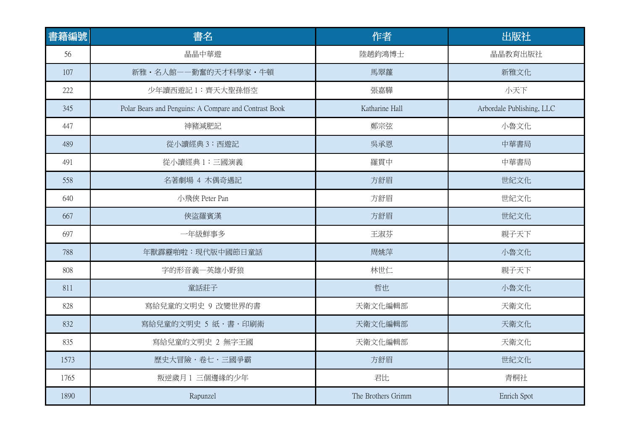| 書籍編號 | 書名                                                    | 作者                 | 出版社                       |
|------|-------------------------------------------------------|--------------------|---------------------------|
| 56   | 晶晶中華遊                                                 | 陸趙鈞鴻博士             | 晶晶教育出版社                   |
| 107  | 新雅·名人館--勤奮的天才科學家·牛頓                                   | 馬翠蘿                | 新雅文化                      |
| 222  | 少年讀西遊記1:齊天大聖孫悟空                                       | 張嘉驊                | 小天下                       |
| 345  | Polar Bears and Penguins: A Compare and Contrast Book | Katharine Hall     | Arbordale Publishing, LLC |
| 447  | 神豬減肥記                                                 | 鄭宗弦                | 小魯文化                      |
| 489  | 從小讀經典 3:西遊記                                           | 吳承恩                | 中華書局                      |
| 491  | 從小讀經典1:三國演義                                           | 羅貫中                | 中華書局                      |
| 558  | 名著劇場 4 木偶奇遇記                                          | 方舒眉                | 世紀文化                      |
| 640  | 小飛俠 Peter Pan                                         | 方舒眉                | 世紀文化                      |
| 667  | 俠盜羅賓漢                                                 | 方舒眉                | 世紀文化                      |
| 697  | 一年級鮮事多                                                | 王淑芬                | 親子天下                      |
| 788  | 年獸霹靂啪啦:現代版中國節日童話                                      | 周姚萍                | 小魯文化                      |
| 808  | 字的形音義一英雄小野狼                                           | 林世仁                | 親子天下                      |
| 811  | 童話莊子                                                  | 哲也                 | 小魯文化                      |
| 828  | 寫給兒童的文明史 9 改變世界的書                                     | 天衛文化編輯部            | 天衛文化                      |
| 832  | 寫給兒童的文明史 5 紙 · 書 · 印刷術                                | 天衛文化編輯部            | 天衛文化                      |
| 835  | 寫給兒童的文明史 2 無字王國                                       | 天衛文化編輯部            | 天衛文化                      |
| 1573 | 歴史大冒險・卷七・三國爭霸                                         | 方舒眉                | 世紀文化                      |
| 1765 | 叛逆歲月1三個邊緣的少年                                          | 君比                 | 青桐社                       |
| 1890 | Rapunzel                                              | The Brothers Grimm | Enrich Spot               |